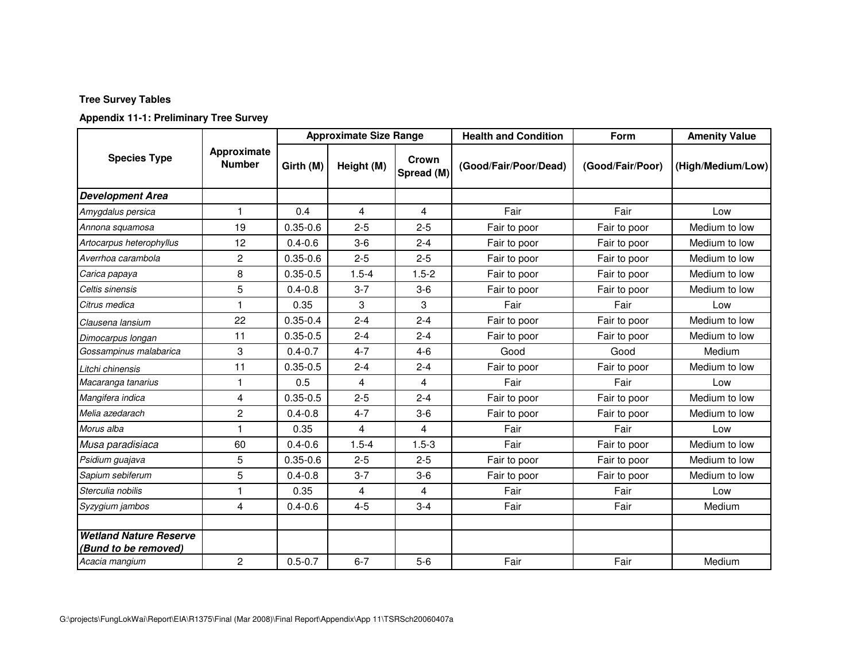# **Appendix 11-1: Preliminary Tree Survey**

|                                                       | Approximate<br><b>Number</b> | <b>Approximate Size Range</b> |                |                         | <b>Health and Condition</b> | Form             | <b>Amenity Value</b> |
|-------------------------------------------------------|------------------------------|-------------------------------|----------------|-------------------------|-----------------------------|------------------|----------------------|
| <b>Species Type</b>                                   |                              | Girth (M)                     | Height (M)     | Crown<br>Spread (M)     | (Good/Fair/Poor/Dead)       | (Good/Fair/Poor) | (High/Medium/Low)    |
| <b>Development Area</b>                               |                              |                               |                |                         |                             |                  |                      |
| Amygdalus persica                                     | 1                            | 0.4                           | $\overline{4}$ | 4                       | Fair                        | Fair             | Low                  |
| Annona squamosa                                       | 19                           | $0.35 - 0.6$                  | $2 - 5$        | $2 - 5$                 | Fair to poor                | Fair to poor     | Medium to low        |
| Artocarpus heterophyllus                              | 12                           | $0.4 - 0.6$                   | $3-6$          | $2 - 4$                 | Fair to poor                | Fair to poor     | Medium to low        |
| Averrhoa carambola                                    | $\mathbf{2}$                 | $0.35 - 0.6$                  | $2 - 5$        | $2 - 5$                 | Fair to poor                | Fair to poor     | Medium to low        |
| Carica papaya                                         | 8                            | $0.35 - 0.5$                  | $1.5 - 4$      | $1.5 - 2$               | Fair to poor                | Fair to poor     | Medium to low        |
| Celtis sinensis                                       | 5                            | $0.4 - 0.8$                   | $3 - 7$        | $3-6$                   | Fair to poor                | Fair to poor     | Medium to low        |
| Citrus medica                                         |                              | 0.35                          | 3              | 3                       | Fair                        | Fair             | Low                  |
| Clausena lansium                                      | 22                           | $0.35 - 0.4$                  | $2 - 4$        | $2 - 4$                 | Fair to poor                | Fair to poor     | Medium to low        |
| Dimocarpus longan                                     | 11                           | $0.35 - 0.5$                  | $2 - 4$        | $2 - 4$                 | Fair to poor                | Fair to poor     | Medium to low        |
| Gossampinus malabarica                                | 3                            | $0.4 - 0.7$                   | $4 - 7$        | $4 - 6$                 | Good                        | Good             | Medium               |
| Litchi chinensis                                      | 11                           | $0.35 - 0.5$                  | $2 - 4$        | $2 - 4$                 | Fair to poor                | Fair to poor     | Medium to low        |
| Macaranga tanarius                                    | 1                            | 0.5                           | 4              | 4                       | Fair                        | Fair             | Low                  |
| Mangifera indica                                      | 4                            | $0.35 - 0.5$                  | $2 - 5$        | $2 - 4$                 | Fair to poor                | Fair to poor     | Medium to low        |
| Melia azedarach                                       | $\mathbf{2}$                 | $0.4 - 0.8$                   | $4 - 7$        | $3-6$                   | Fair to poor                | Fair to poor     | Medium to low        |
| Morus alba                                            |                              | 0.35                          | 4              | 4                       | Fair                        | Fair             | Low                  |
| Musa paradisiaca                                      | 60                           | $0.4 - 0.6$                   | $1.5 - 4$      | $1.5 - 3$               | Fair                        | Fair to poor     | Medium to low        |
| Psidium guajava                                       | 5                            | $0.35 - 0.6$                  | $2 - 5$        | $2 - 5$                 | Fair to poor                | Fair to poor     | Medium to low        |
| Sapium sebiferum                                      | 5                            | $0.4 - 0.8$                   | $3 - 7$        | $3-6$                   | Fair to poor                | Fair to poor     | Medium to low        |
| Sterculia nobilis                                     | $\mathbf{1}$                 | 0.35                          | 4              | $\overline{\mathbf{4}}$ | Fair                        | Fair             | Low                  |
| Syzygium jambos                                       | 4                            | $0.4 - 0.6$                   | $4 - 5$        | $3 - 4$                 | Fair                        | Fair             | Medium               |
| <b>Wetland Nature Reserve</b><br>(Bund to be removed) |                              |                               |                |                         |                             |                  |                      |
| Acacia mangium                                        | $\mathbf{2}$                 | $0.5 - 0.7$                   | $6 - 7$        | $5-6$                   | Fair                        | Fair             | Medium               |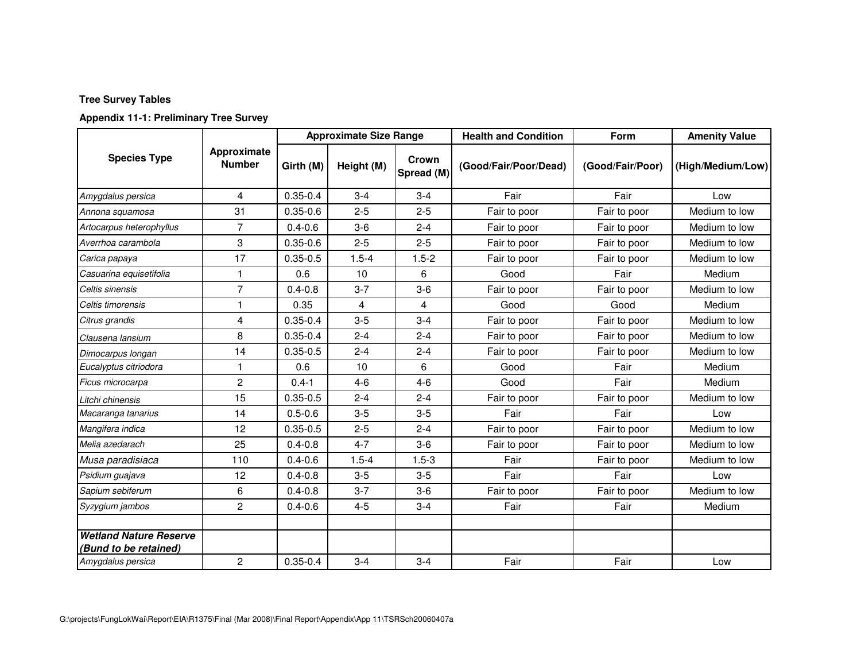# **Appendix 11-1: Preliminary Tree Survey**

|                                                                             |                              | <b>Approximate Size Range</b> |            |                     | <b>Health and Condition</b> | Form             | <b>Amenity Value</b> |
|-----------------------------------------------------------------------------|------------------------------|-------------------------------|------------|---------------------|-----------------------------|------------------|----------------------|
| <b>Species Type</b>                                                         | Approximate<br><b>Number</b> | Girth (M)                     | Height (M) | Crown<br>Spread (M) | (Good/Fair/Poor/Dead)       | (Good/Fair/Poor) | (High/Medium/Low)    |
| Amygdalus persica                                                           | 4                            | $0.35 - 0.4$                  | $3 - 4$    | $3 - 4$             | Fair                        | Fair             | Low                  |
| Annona squamosa                                                             | 31                           | $0.35 - 0.6$                  | $2 - 5$    | $2 - 5$             | Fair to poor                | Fair to poor     | Medium to low        |
| Artocarpus heterophyllus                                                    | 7                            | $0.4 - 0.6$                   | $3-6$      | $2 - 4$             | Fair to poor                | Fair to poor     | Medium to low        |
| Averrhoa carambola                                                          | 3                            | $0.35 - 0.6$                  | $2 - 5$    | $2 - 5$             | Fair to poor                | Fair to poor     | Medium to low        |
| Carica papaya                                                               | 17                           | $0.35 - 0.5$                  | $1.5 - 4$  | $1.5 - 2$           | Fair to poor                | Fair to poor     | Medium to low        |
| Casuarina equisetifolia                                                     | $\mathbf{1}$                 | 0.6                           | 10         | 6                   | Good                        | Fair             | Medium               |
| Celtis sinensis                                                             | $\overline{7}$               | $0.4 - 0.8$                   | $3 - 7$    | $3-6$               | Fair to poor                | Fair to poor     | Medium to low        |
| Celtis timorensis                                                           | 1                            | 0.35                          | 4          | 4                   | Good                        | Good             | Medium               |
| Citrus grandis                                                              | 4                            | $0.35 - 0.4$                  | $3 - 5$    | $3 - 4$             | Fair to poor                | Fair to poor     | Medium to low        |
| Clausena lansium                                                            | 8                            | $0.35 - 0.4$                  | $2 - 4$    | $2 - 4$             | Fair to poor                | Fair to poor     | Medium to low        |
| Dimocarpus longan                                                           | 14                           | $0.35 - 0.5$                  | $2 - 4$    | $2 - 4$             | Fair to poor                | Fair to poor     | Medium to low        |
| Eucalyptus citriodora                                                       | 1                            | 0.6                           | 10         | 6                   | Good                        | Fair             | Medium               |
| Ficus microcarpa                                                            | $\overline{c}$               | $0.4 - 1$                     | $4-6$      | $4 - 6$             | Good                        | Fair             | Medium               |
| Litchi chinensis                                                            | 15                           | $0.35 - 0.5$                  | $2 - 4$    | $2 - 4$             | Fair to poor                | Fair to poor     | Medium to low        |
| Macaranga tanarius                                                          | 14                           | $0.5 - 0.6$                   | $3-5$      | $3-5$               | Fair                        | Fair             | Low                  |
| Mangifera indica                                                            | 12                           | $0.35 - 0.5$                  | $2 - 5$    | $2 - 4$             | Fair to poor                | Fair to poor     | Medium to low        |
| Melia azedarach                                                             | 25                           | $0.4 - 0.8$                   | $4 - 7$    | $3-6$               | Fair to poor                | Fair to poor     | Medium to low        |
| Musa paradisiaca                                                            | 110                          | $0.4 - 0.6$                   | $1.5 - 4$  | $1.5 - 3$           | Fair                        | Fair to poor     | Medium to low        |
| Psidium guajava                                                             | 12                           | $0.4 - 0.8$                   | $3-5$      | $3-5$               | Fair                        | Fair             | Low                  |
| Sapium sebiferum                                                            | 6                            | $0.4 - 0.8$                   | $3 - 7$    | $3-6$               | Fair to poor                | Fair to poor     | Medium to low        |
| Syzygium jambos                                                             | $\overline{c}$               | $0.4 - 0.6$                   | $4 - 5$    | $3 - 4$             | Fair                        | Fair             | Medium               |
| <b>Wetland Nature Reserve</b><br>(Bund to be retained)<br>Amygdalus persica |                              |                               | $3 - 4$    |                     |                             |                  | Low                  |
|                                                                             | $\overline{c}$               | $0.35 - 0.4$                  |            | $3 - 4$             | Fair                        | Fair             |                      |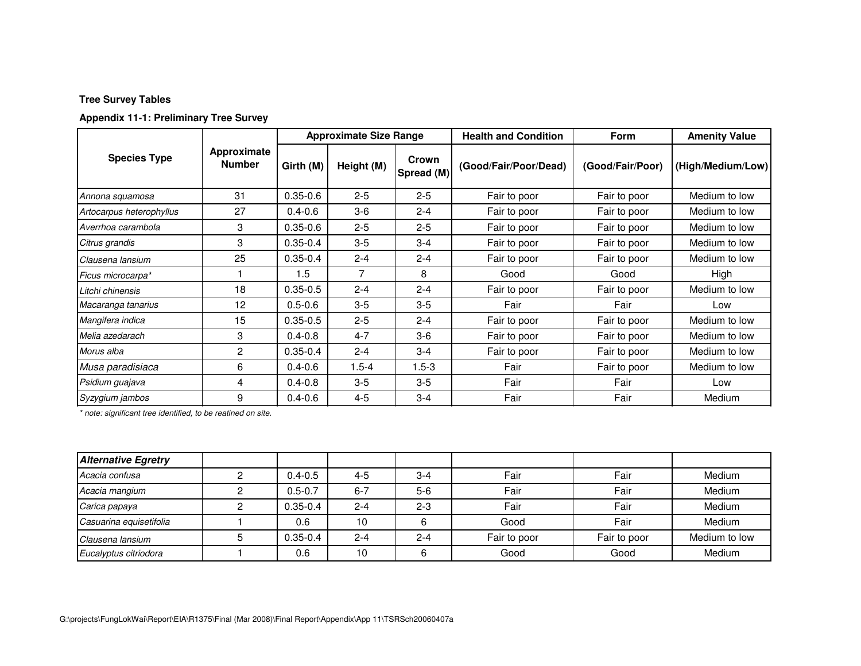# **Appendix 11-1: Preliminary Tree Survey**

| <b>Species Type</b>      | Approximate<br><b>Number</b> | <b>Approximate Size Range</b> |            |                     | <b>Health and Condition</b> | <b>Form</b>      | <b>Amenity Value</b> |
|--------------------------|------------------------------|-------------------------------|------------|---------------------|-----------------------------|------------------|----------------------|
|                          |                              | Girth (M)                     | Height (M) | Crown<br>Spread (M) | (Good/Fair/Poor/Dead)       | (Good/Fair/Poor) | (High/Medium/Low)    |
| Annona squamosa          | 31                           | $0.35 - 0.6$                  | $2 - 5$    | $2 - 5$             | Fair to poor                | Fair to poor     | Medium to low        |
| Artocarpus heterophyllus | 27                           | $0.4 - 0.6$                   | $3-6$      | $2 - 4$             | Fair to poor                | Fair to poor     | Medium to low        |
| Averrhoa carambola       | 3                            | $0.35 - 0.6$                  | $2 - 5$    | $2 - 5$             | Fair to poor                | Fair to poor     | Medium to low        |
| Citrus grandis           | 3                            | $0.35 - 0.4$                  | $3-5$      | $3-4$               | Fair to poor                | Fair to poor     | Medium to low        |
| Clausena lansium         | 25                           | $0.35 - 0.4$                  | $2 - 4$    | $2 - 4$             | Fair to poor                | Fair to poor     | Medium to low        |
| Ficus microcarpa*        |                              | 1.5                           | 7          | 8                   | Good                        | Good             | High                 |
| Litchi chinensis         | 18                           | $0.35 - 0.5$                  | $2 - 4$    | $2 - 4$             | Fair to poor                | Fair to poor     | Medium to low        |
| Macaranga tanarius       | 12                           | $0.5 - 0.6$                   | $3-5$      | $3-5$               | Fair                        | Fair             | Low                  |
| Mangifera indica         | 15                           | $0.35 - 0.5$                  | $2 - 5$    | $2 - 4$             | Fair to poor                | Fair to poor     | Medium to low        |
| Melia azedarach          | 3                            | $0.4 - 0.8$                   | $4 - 7$    | $3-6$               | Fair to poor                | Fair to poor     | Medium to low        |
| Morus alba               | $\overline{2}$               | $0.35 - 0.4$                  | $2 - 4$    | $3-4$               | Fair to poor                | Fair to poor     | Medium to low        |
| Musa paradisiaca         | 6                            | $0.4 - 0.6$                   | $1.5 - 4$  | $1.5 - 3$           | Fair                        | Fair to poor     | Medium to low        |
| Psidium guajava          | 4                            | $0.4 - 0.8$                   | $3-5$      | $3-5$               | Fair                        | Fair             | Low                  |
| Syzygium jambos          | 9                            | $0.4 - 0.6$                   | $4 - 5$    | $3 - 4$             | Fair                        | Fair             | Medium               |

*\* note: significant tree identified, to be reatined on site.*

| <b>Alternative Egretry</b> |              |         |         |              |              |               |
|----------------------------|--------------|---------|---------|--------------|--------------|---------------|
| Acacia confusa             | $0.4 - 0.5$  | $4 - 5$ | $3 - 4$ | Fair         | Fair         | Medium        |
| Acacia mangium             | $0.5 - 0.7$  | $6 - 7$ | $5-6$   | Fair         | Fair         | Medium        |
| Carica papaya              | $0.35 - 0.4$ | $2 - 4$ | $2 - 3$ | Fair         | Fair         | Medium        |
| Casuarina equisetifolia    | 0.6          | 10      |         | Good         | Fair         | Medium        |
| Clausena lansium           | $0.35 - 0.4$ | $2 - 4$ | $2 - 4$ | Fair to poor | Fair to poor | Medium to low |
| Eucalyptus citriodora      | 0.6          | 10      |         | Good         | Good         | Medium        |